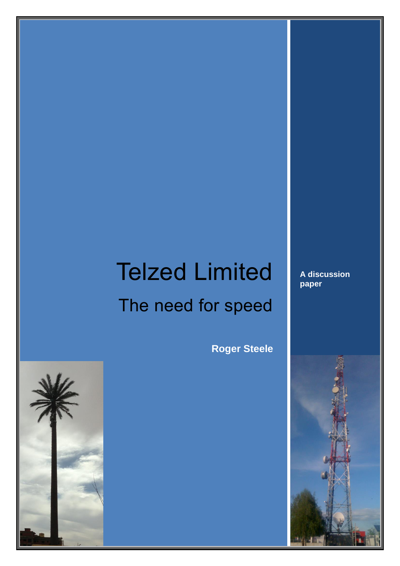# Telzed Limited The need for speed

**Roger Steele**

**A discussion paper**



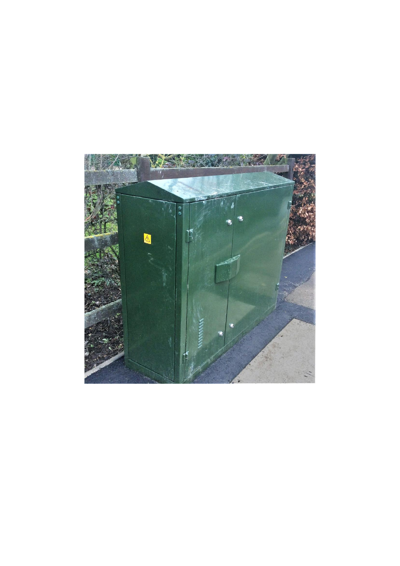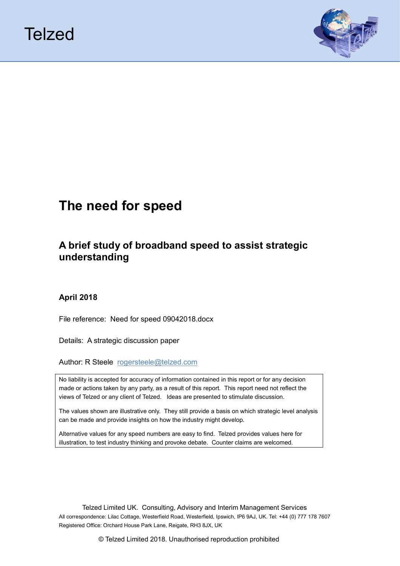

## **The need for speed**

## **A brief study of broadband speed to assist strategic understanding**

#### **April 2018**

File reference: Need for speed 09042018.docx

Details: A strategic discussion paper

Author: R Steele [rogersteele@telzed.com](mailto:rogersteele@telzed.com)

No liability is accepted for accuracy of information contained in this report or for any decision made or actions taken by any party, as a result of this report. This report need not reflect the views of Telzed or any client of Telzed. Ideas are presented to stimulate discussion.

The values shown are illustrative only. They still provide a basis on which strategic level analysis can be made and provide insights on how the industry might develop.

Alternative values for any speed numbers are easy to find. Telzed provides values here for illustration, to test industry thinking and provoke debate. Counter claims are welcomed.

Telzed Limited UK. Consulting, Advisory and Interim Management Services All correspondence: Lilac Cottage, Westerfield Road, Westerfield, Ipswich, IP6 9AJ, UK. Tel: +44 (0) 777 178 7607 Registered Office: Orchard House Park Lane, Reigate, RH3 8JX, UK

© Telzed Limited 2018. Unauthorised reproduction prohibited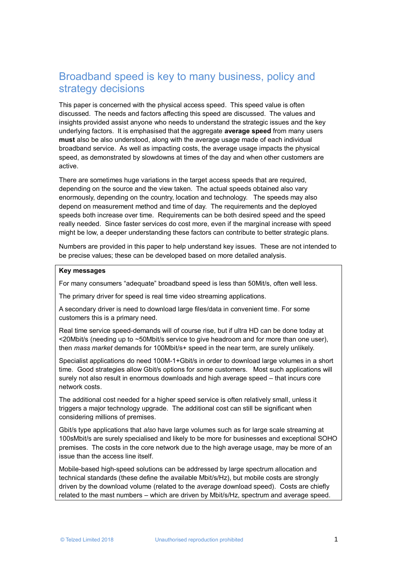#### Broadband speed is key to many business, policy and strategy decisions

This paper is concerned with the physical access speed. This speed value is often discussed. The needs and factors affecting this speed are discussed. The values and insights provided assist anyone who needs to understand the strategic issues and the key underlying factors. It is emphasised that the aggregate **average speed** from many users **must** also be also understood, along with the average usage made of each individual broadband service. As well as impacting costs, the average usage impacts the physical speed, as demonstrated by slowdowns at times of the day and when other customers are active.

There are sometimes huge variations in the target access speeds that are required, depending on the source and the view taken. The actual speeds obtained also vary enormously, depending on the country, location and technology. The speeds may also depend on measurement method and time of day. The requirements and the deployed speeds both increase over time. Requirements can be both desired speed and the speed really needed. Since faster services do cost more, even if the marginal increase with speed might be low, a deeper understanding these factors can contribute to better strategic plans.

Numbers are provided in this paper to help understand key issues. These are not intended to be precise values; these can be developed based on more detailed analysis.

#### **Key messages**

For many consumers "adequate" broadband speed is less than 50Mit/s, often well less.

The primary driver for speed is real time video streaming applications.

A secondary driver is need to download large files/data in convenient time. For some customers this is a primary need.

Real time service speed-demands will of course rise, but if ultra HD can be done today at <20Mbit/s (needing up to ~50Mbit/s service to give headroom and for more than one user), then *mass market* demands for 100Mbit/s+ speed in the near term, are surely unlikely.

Specialist applications do need 100M-1+Gbit/s in order to download large volumes in a short time. Good strategies allow Gbit/s options for *some* customers. Most such applications will surely not also result in enormous downloads and high average speed – that incurs core network costs.

The additional cost needed for a higher speed service is often relatively small, unless it triggers a major technology upgrade. The additional cost can still be significant when considering millions of premises.

Gbit/s type applications that *also* have large volumes such as for large scale streaming at 100sMbit/s are surely specialised and likely to be more for businesses and exceptional SOHO premises. The costs in the core network due to the high average usage, may be more of an issue than the access line itself.

Mobile-based high-speed solutions can be addressed by large spectrum allocation and technical standards (these define the available Mbit/s/Hz), but mobile costs are strongly driven by the download volume (related to the *average* download speed). Costs are chiefly related to the mast numbers – which are driven by Mbit/s/Hz, spectrum and average speed.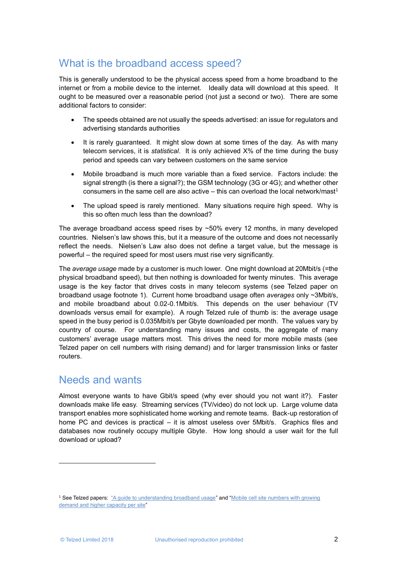## What is the broadband access speed?

This is generally understood to be the physical access speed from a home broadband to the internet or from a mobile device to the internet. Ideally data will download at this speed. It ought to be measured over a reasonable period (not just a second or two). There are some additional factors to consider:

- The speeds obtained are not usually the speeds advertised: an issue for regulators and advertising standards authorities
- It is rarely guaranteed. It might slow down at some times of the day. As with many telecom services, it is *statistical*. It is only achieved X% of the time during the busy period and speeds can vary between customers on the same service
- <span id="page-4-0"></span>• Mobile broadband is much more variable than a fixed service. Factors include: the signal strength (is there a signal?); the GSM technology (3G or 4G); and whether other consumers in the same cell are also active – this can overload the local network/mast<sup>1</sup>
- The upload speed is rarely mentioned. Many situations require high speed. Why is this so often much less than the download?

The average broadband access speed rises by ~50% every 12 months, in many developed countries. Nielsen's law shows this, but it a measure of the outcome and does not necessarily reflect the needs. Nielsen's Law also does not define a target value, but the message is powerful – the required speed for most users must rise very significantly.

The *average usage* made by a customer is much lower. One might download at 20Mbit/s (=the physical broadband speed), but then nothing is downloaded for twenty minutes. This average usage is the key factor that drives costs in many telecom systems (see Telzed paper on broadband usage footnote [1\)](#page-4-0). Current home broadband usage often *averages* only ~3Mbit/s, and mobile broadband about 0.02-0.1Mbit/s. This depends on the user behaviour (TV downloads versus email for example). A rough Telzed rule of thumb is: the average usage speed in the busy period is 0.035Mbit/s per Gbyte downloaded per month. The values vary by country of course. For understanding many issues and costs, the aggregate of many customers' average usage matters most. This drives the need for more mobile masts (see Telzed paper on cell numbers with rising demand) and for larger transmission links or faster routers.

#### Needs and wants

Almost everyone wants to have Gbit/s speed (why ever should you not want it?). Faster downloads make life easy. Streaming services (TV/video) do not lock up. Large volume data transport enables more sophisticated home working and remote teams. Back-up restoration of home PC and devices is practical – it is almost useless over 5Mbit/s. Graphics files and databases now routinely occupy multiple Gbyte. How long should a user wait for the full download or upload?

<sup>1</sup> See Telzed papers: ["A guide to understanding broadband usage"](http://www.telzed.com/sitebuildercontent/sitebuilderfiles/broadband_usage_and_mobile_15042017.pdf) and ["Mobile cell site numbers with growing](http://www.telzed.com/sitebuildercontent/sitebuilderfiles/cell_site_numbers_v1.pdf)  [demand and higher capacity per site"](http://www.telzed.com/sitebuildercontent/sitebuilderfiles/cell_site_numbers_v1.pdf)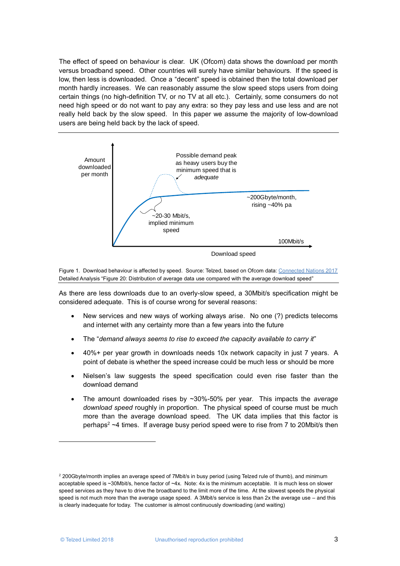The effect of speed on behaviour is clear. UK (Ofcom) data shows the download per month versus broadband speed. Other countries will surely have similar behaviours. If the speed is low, then less is downloaded. Once a "decent" speed is obtained then the total download per month hardly increases. We can reasonably assume the slow speed stops users from doing certain things (no high-definition TV, or no TV at all etc.). Certainly, some consumers do not need high speed or do not want to pay any extra: so they pay less and use less and are not really held back by the slow speed. In this paper we assume the majority of low-download users are being held back by the lack of speed.



Figure 1. Download behaviour is affected by speed. Source: Telzed, based on Ofcom data: [Connected Nations 2017](https://www.ofcom.org.uk/research-and-data/multi-sector-research/infrastructure-research/connected-nations-2017) Detailed Analysis "Figure 20: Distribution of average data use compared with the average download speed"

As there are less downloads due to an overly-slow speed, a 30Mbit/s specification might be considered adequate. This is of course wrong for several reasons:

- New services and new ways of working always arise. No one (?) predicts telecoms and internet with any certainty more than a few years into the future
- The "*demand always seems to rise to exceed the capacity available to carry it*"
- 40%+ per year growth in downloads needs 10x network capacity in just 7 years. A point of debate is whether the speed increase could be much less or should be more
- Nielsen's law suggests the speed specification could even rise faster than the download demand
- The amount downloaded rises by ~30%-50% per year. This impacts the *average download speed* roughly in proportion. The physical speed of course must be much more than the average download speed. The UK data implies that this factor is perhaps<sup>2</sup>  $\sim$ 4 times. If average busy period speed were to rise from 7 to 20Mbit/s then

<sup>2</sup> 200Gbyte/month implies an average speed of 7Mbit/s in busy period (using Telzed rule of thumb), and minimum acceptable speed is ~30Mbit/s, hence factor of ~4x. Note: 4x is the minimum acceptable. It is much less on slower speed services as they have to drive the broadband to the limit more of the time. At the slowest speeds the physical speed is not much more than the average usage speed. A 3Mbit/s service is less than 2x the average use – and this is clearly inadequate for today. The customer is almost continuously downloading (and waiting)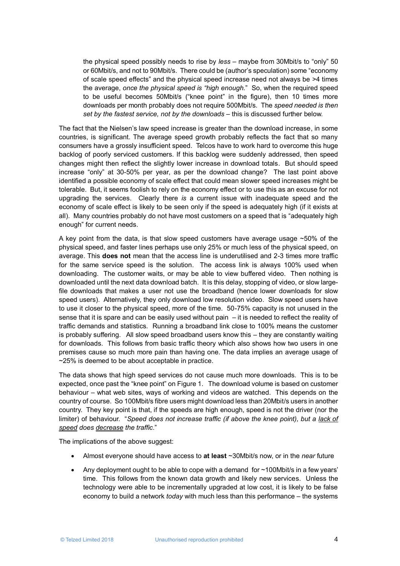the physical speed possibly needs to rise by *less* – maybe from 30Mbit/s to "only" 50 or 60Mbit/s, and not to 90Mbit/s. There could be (author's speculation) some "economy of scale speed effects" and the physical speed increase need not always be >4 times the average, *once the physical speed is "high enough.*" So, when the required speed to be useful becomes 50Mbit/s ("knee point" in the figure), then 10 times more downloads per month probably does not require 500Mbit/s. The *speed needed is then set by the fastest service, not by the downloads* – this is discussed further below.

The fact that the Nielsen's law speed increase is greater than the download increase, in some countries, is significant. The average speed growth probably reflects the fact that so many consumers have a grossly insufficient speed. Telcos have to work hard to overcome this huge backlog of poorly serviced customers. If this backlog were suddenly addressed, then speed changes might then reflect the slightly lower increase in download totals. But should speed increase "only" at 30-50% per year, as per the download change? The last point above identified a possible economy of scale effect that could mean slower speed increases might be tolerable. But, it seems foolish to rely on the economy effect or to use this as an excuse for not upgrading the services. Clearly there *is* a current issue with inadequate speed and the economy of scale effect is likely to be seen only if the speed is adequately high (if it exists at all). Many countries probably do not have most customers on a speed that is "adequately high enough" for current needs.

A key point from the data, is that slow speed customers have average usage  $~50\%$  of the physical speed, and faster lines perhaps use only 25% or much less of the physical speed, on average. This **does not** mean that the access line is underutilised and 2-3 times more traffic for the same service speed is the solution. The access link is always 100% used when downloading. The customer waits, or may be able to view buffered video. Then nothing is downloaded until the next data download batch. It is this delay, stopping of video, or slow largefile downloads that makes a user not use the broadband (hence lower downloads for slow speed users). Alternatively, they only download low resolution video. Slow speed users have to use it closer to the physical speed, more of the time. 50-75% capacity is not unused in the sense that it is spare and can be easily used without pain – it is needed to reflect the reality of traffic demands and statistics. Running a broadband link close to 100% means the customer is probably suffering. All slow speed broadband users know this – they are constantly waiting for downloads. This follows from basic traffic theory which also shows how two users in one premises cause so much more pain than having one. The data implies an average usage of ~25% is deemed to be about acceptable in practice.

The data shows that high speed services do not cause much more downloads. This is to be expected, once past the "knee point" on Figure 1. The download volume is based on customer behaviour – what web sites, ways of working and videos are watched. This depends on the country of course. So 100Mbit/s fibre users might download less than 20Mbit/s users in another country. They key point is that, if the speeds are high enough, speed is not the driver (nor the limiter) of behaviour. "*Speed does not increase traffic (if above the knee point), but a lack of speed does decrease the traffic*."

The implications of the above suggest:

- Almost everyone should have access to **at least** ~30Mbit/s now, or in the *near* future
- Any deployment ought to be able to cope with a demand for ~100Mbit/s in a few years' time. This follows from the known data growth and likely new services. Unless the technology were able to be incrementally upgraded at low cost, it is likely to be false economy to build a network *today* with much less than this performance – the systems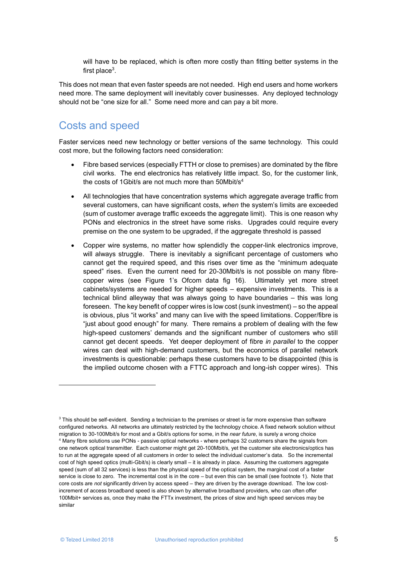will have to be replaced, which is often more costly than fitting better systems in the first place<sup>3</sup>.

This does not mean that even faster speeds are not needed. High end users and home workers need more. The same deployment will inevitably cover businesses. Any deployed technology should not be "one size for all." Some need more and can pay a bit more.

#### Costs and speed

Faster services need new technology or better versions of the same technology. This could cost more, but the following factors need consideration:

- Fibre based services (especially FTTH or close to premises) are dominated by the fibre civil works. The end electronics has relatively little impact. So, for the customer link, the costs of 1Gbit/s are not much more than  $50$ Mbit/s<sup>4</sup>
- All technologies that have concentration systems which aggregate average traffic from several customers, can have significant costs, *when* the system's limits are exceeded (sum of customer average traffic exceeds the aggregate limit). This is one reason why PONs and electronics in the street have some risks. Upgrades could require every premise on the one system to be upgraded, if the aggregate threshold is passed
- Copper wire systems, no matter how splendidly the copper-link electronics improve, will always struggle. There is inevitably a significant percentage of customers who cannot get the required speed, and this rises over time as the "minimum adequate speed" rises. Even the current need for 20-30Mbit/s is not possible on many fibrecopper wires (see Figure 1's Ofcom data fig 16). Ultimately yet more street cabinets/systems are needed for higher speeds – expensive investments. This is a technical blind alleyway that was always going to have boundaries – this was long foreseen. The key benefit of copper wires is low cost (sunk investment) – so the appeal is obvious, plus "it works" and many can live with the speed limitations. Copper/fibre is "just about good enough" for many. There remains a problem of dealing with the few high-speed customers' demands and the significant number of customers who still cannot get decent speeds. Yet deeper deployment of fibre *in parallel* to the copper wires can deal with high-demand customers, but the economics of parallel network investments is questionable: perhaps these customers have to be disappointed (this is the implied outcome chosen with a FTTC approach and long-ish copper wires). This

<sup>&</sup>lt;sup>3</sup> This should be self-evident. Sending a technician to the premises or street is far more expensive than software configured networks. All networks are ultimately restricted by the technology choice. A fixed network solution without migration to 30-100Mbit/s for most and a Gbit/s options for some, in the *near future*, is surely a wrong choice <sup>4</sup> Many fibre solutions use PONs - passive optical networks - where perhaps 32 customers share the signals from one network optical transmitter. Each customer might get 20-100Mbit/s, yet the customer site electronics/optics has to run at the aggregate speed of all customers in order to select the individual customer's data. So the incremental cost of high speed optics (multi-Gbit/s) is clearly small – it is already in place. Assuming the customers aggregate speed (sum of all 32 services) is less than the physical speed of the optical system, the marginal cost of a faster service is close to zero. The incremental cost is in the core – but even this can be small (see footnot[e 1\)](#page-4-0). Note that core costs are *not* significantly driven by access speed – they are driven by the average download. The low costincrement of access broadband speed is also shown by alternative broadband providers, who can often offer 100Mbit+ services as, once they make the FTTx investment, the prices of slow and high speed services may be similar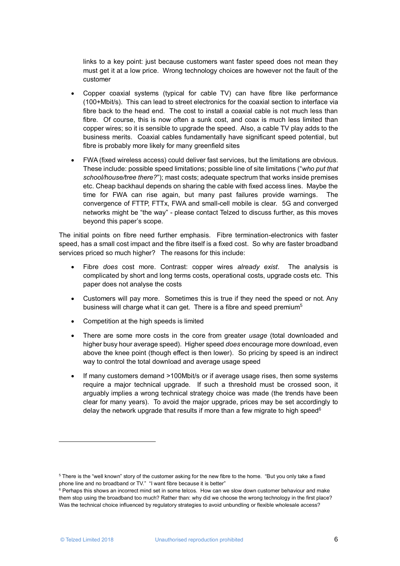links to a key point: just because customers want faster speed does not mean they must get it at a low price. Wrong technology choices are however not the fault of the customer

- Copper coaxial systems (typical for cable TV) can have fibre like performance (100+Mbit/s). This can lead to street electronics for the coaxial section to interface via fibre back to the head end. The cost to install a coaxial cable is not much less than fibre. Of course, this is now often a sunk cost, and coax is much less limited than copper wires; so it is sensible to upgrade the speed. Also, a cable TV play adds to the business merits. Coaxial cables fundamentally have significant speed potential, but fibre is probably more likely for many greenfield sites
- FWA (fixed wireless access) could deliver fast services, but the limitations are obvious. These include: possible speed limitations; possible line of site limitations ("*who put that school/house/tree there?*"); mast costs; adequate spectrum that works inside premises etc. Cheap backhaul depends on sharing the cable with fixed access lines. Maybe the time for FWA can rise again, but many past failures provide warnings. The convergence of FTTP, FTTx, FWA and small-cell mobile is clear. 5G and converged networks might be "the way" - please contact Telzed to discuss further, as this moves beyond this paper's scope.

The initial points on fibre need further emphasis. Fibre termination-electronics with faster speed, has a small cost impact and the fibre itself is a fixed cost. So why are faster broadband services priced so much higher? The reasons for this include:

- Fibre *does* cost more. Contrast: copper wires *already exist*. The analysis is complicated by short and long terms costs, operational costs, upgrade costs etc. This paper does not analyse the costs
- Customers will pay more. Sometimes this is true if they need the speed or not. Any business will charge what it can get. There is a fibre and speed premium<sup>5</sup>
- Competition at the high speeds is limited
- There are some more costs in the core from greater *usage* (total downloaded and higher busy hour average speed). Higher speed *does* encourage more download, even above the knee point (though effect is then lower). So pricing by speed is an indirect way to control the total download and average usage speed
- If many customers demand >100Mbit/s or if average usage rises, then some systems require a major technical upgrade. If such a threshold must be crossed soon, it arguably implies a wrong technical strategy choice was made (the trends have been clear for many years). To avoid the major upgrade, prices may be set accordingly to delay the network upgrade that results if more than a few migrate to high speed<sup>6</sup>

<sup>5</sup> There is the "well known" story of the customer asking for the new fibre to the home. "But you only take a fixed phone line and no broadband or TV." "I want fibre because it is better"

 $6$  Perhaps this shows an incorrect mind set in some telcos. How can we slow down customer behaviour and make them stop using the broadband too much? Rather than: why did we choose the wrong technology in the first place? Was the technical choice influenced by regulatory strategies to avoid unbundling or flexible wholesale access?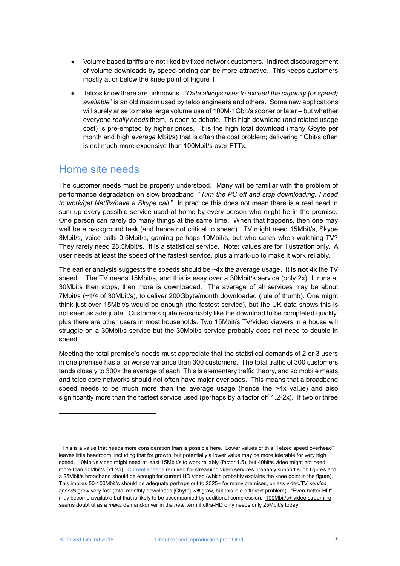- Volume based tariffs are not liked by fixed network customers. Indirect discouragement of volume downloads by speed-pricing can be more attractive. This keeps customers mostly at or below the knee point of Figure 1
- Telcos know there are unknowns. "*Data always rises to exceed the capacity (or speed) available*" is an old maxim used by telco engineers and others. Some new applications will surely arise to make large volume use of 100M-1Gbit/s sooner or later – but whether everyone *really needs* them, is open to debate. This high download (and related usage cost) is pre-empted by higher prices. It is the high total download (many Gbyte per month and high *average* Mbit/s) that is often the cost problem; delivering 1Gbit/s often is not much more expensive than 100Mbit/s over FTTx.

#### Home site needs

The customer needs must be properly understood. Many will be familiar with the problem of performance degradation on slow broadband: "*Turn the PC off and stop downloading, I need to work/get Netflix/have a Skype call*." In practice this does not mean there is a real need to sum up every possible service used at home by every person who might be in the premise. One person can rarely do many things at the same time. When that happens, then one may well be a background task (and hence not critical to speed). TV might need 15Mbit/s, Skype 3Mbit/s, voice calls 0.5Mbit/s, gaming perhaps 10Mbit/s, but who cares when watching TV? They rarely need 28.5Mbit/s. It is a statistical service. Note: values are for illustration only. A user needs at least the speed of the fastest service, plus a mark-up to make it work reliably.

The earlier analysis suggests the speeds should be ~4x the average usage. It is **not** 4x the TV speed. The TV needs 15Mbit/s, and this is easy over a 30Mbit/s service (only 2x). It runs at 30Mbits then stops, then more is downloaded. The average of all services may be about 7Mbit/s (~1/4 of 30Mbit/s), to deliver 200Gbyte/month downloaded (rule of thumb). One might think just over 15Mbit/s would be enough (the fastest service), but the UK data shows this is not seen as adequate. Customers quite reasonably like the download to be completed quickly, plus there are other users in most households. Two 15Mbit/s TV/video viewers in a house will struggle on a 30Mbit/s service but the 30Mbit/s service probably does not need to double in speed.

Meeting the total premise's needs must appreciate that the statistical demands of 2 or 3 users in one premise has a far worse variance than 300 customers. The total traffic of 300 customers tends closely to 300x the average of each. This is elementary traffic theory, and so mobile masts and telco core networks should not often have major overloads. This means that a broadband speed needs to be much more than the average usage (hence the >4x value) and also significantly more than the fastest service used (perhaps by a factor of  $\frac{7}{1.2-2x}$ ). If two or three

<sup>7</sup> This is a value that needs more consideration than is possible here. Lower values of this "Telzed speed overhead" leaves little headroom, including that for growth, but potentially a lower value may be more tolerable for very high speed. 10Mbit/s video might need at least 15Mbit/s to work reliably (factor 1.5), but 40bit/s video might not need more than 50Mbit/s (x1.25). [Current speeds](https://www.comparethemarket.com/broadband/content/broadband-for-streaming/) required for streaming video services probably support such figures and a 25Mbit/s broadband should be enough for current HD video (which probably explains the knee point in the figure). This implies 50-100Mbit/s should be adequate perhaps out to 2025+ for many premises, unless video/TV *service speeds* grow very fast (total monthly downloads [Gbyte] *will* grow, but this is a different problem). "Even-better-HD" may become available but that is likely to be accompanied by additional compression. 100Mbit/s+ video streaming seems doubtful as a *major* demand-driver in the *near* term if ultra-HD only needs only 25Mbit/s today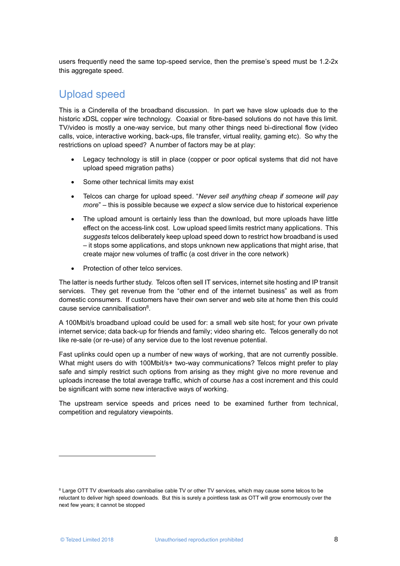users frequently need the same top-speed service, then the premise's speed must be 1.2-2x this aggregate speed.

#### Upload speed

This is a Cinderella of the broadband discussion. In part we have slow uploads due to the historic xDSL copper wire technology. Coaxial or fibre-based solutions do not have this limit. TV/video is mostly a one-way service, but many other things need bi-directional flow (video calls, voice, interactive working, back-ups, file transfer, virtual reality, gaming etc). So why the restrictions on upload speed? A number of factors may be at play:

- Legacy technology is still in place (copper or poor optical systems that did not have upload speed migration paths)
- Some other technical limits may exist
- Telcos can charge for upload speed. "*Never sell anything cheap if someone will pay more*" – this is possible because we *expect* a slow service due to historical experience
- The upload amount is certainly less than the download, but more uploads have little effect on the access-link cost. Low upload speed limits restrict many applications. This *suggests* telcos deliberately keep upload speed down to restrict how broadband is used – it stops some applications, and stops unknown new applications that might arise, that create major new volumes of traffic (a cost driver in the core network)
- Protection of other telco services.

The latter is needs further study. Telcos often sell IT services, internet site hosting and IP transit services. They get revenue from the "other end of the internet business" as well as from domestic consumers. If customers have their own server and web site at home then this could cause service cannibalisation<sup>8</sup>.

A 100Mbit/s broadband upload could be used for: a small web site host; for your own private internet service; data back-up for friends and family; video sharing etc. Telcos generally do not like re-sale (or re-use) of any service due to the lost revenue potential.

Fast uplinks could open up a number of new ways of working, that are not currently possible. What might users do with 100Mbit/s+ two-way communications? Telcos might prefer to play safe and simply restrict such options from arising as they might give no more revenue and uploads increase the total average traffic, which of course *has* a cost increment and this could be significant with some new interactive ways of working.

The upstream service speeds and prices need to be examined further from technical, competition and regulatory viewpoints.

<sup>8</sup> Large OTT TV *down*loads also cannibalise cable TV or other TV services, which may cause some telcos to be reluctant to deliver high speed downloads. But this is surely a pointless task as OTT will grow enormously over the next few years; it cannot be stopped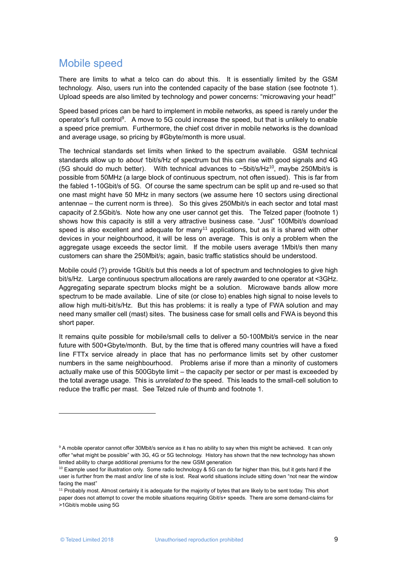#### Mobile speed

There are limits to what a telco can do about this. It is essentially limited by the GSM technology. Also, users run into the contended capacity of the base station (see footnote [1\)](#page-4-0). Upload speeds are also limited by technology and power concerns: "microwaving your head!"

Speed based prices can be hard to implement in mobile networks, as speed is rarely under the operator's full control<sup>9</sup>. A move to 5G could increase the speed, but that is unlikely to enable a speed price premium. Furthermore, the chief cost driver in mobile networks is the download and average usage, so pricing by #Gbyte/month is more usual.

The technical standards set limits when linked to the spectrum available. GSM technical standards allow up to *about* 1bit/s/Hz of spectrum but this can rise with good signals and 4G (5G should do much better). With technical advances to  $\sim$ 5bit/s/Hz<sup>10</sup>, maybe 250Mbit/s is possible from 50MHz (a large block of continuous spectrum, not often issued). This is far from the fabled 1-10Gbit/s of 5G. Of course the same spectrum can be split up and re-used so that one mast might have 50 MHz in many sectors (we assume here 10 sectors using directional antennae – the current norm is three). So this gives 250Mbit/s in each sector and total mast capacity of 2.5Gbit/s. Note how any one user cannot get this. The Telzed paper (footnote [1\)](#page-4-0) shows how this capacity is still a very attractive business case. "Just" 100Mbit/s download speed is also excellent and adequate for many<sup>11</sup> applications, but as it is shared with other devices in your neighbourhood, it will be less on average. This is only a problem when the aggregate usage exceeds the sector limit. If the mobile users average 1Mbit/s then many customers can share the 250Mbit/s; again, basic traffic statistics should be understood.

Mobile could (?) provide 1Gbit/s but this needs a lot of spectrum and technologies to give high bit/s/Hz. Large continuous spectrum allocations are rarely awarded to one operator at <3GHz. Aggregating separate spectrum blocks might be a solution. Microwave bands allow more spectrum to be made available. Line of site (or close to) enables high signal to noise levels to allow high multi-bit/s/Hz. But this has problems: it is really a type of FWA solution and may need many smaller cell (mast) sites. The business case for small cells and FWA is beyond this short paper.

It remains quite possible for mobile/small cells to deliver a 50-100Mbit/s service in the near future with 500+Gbyte/month. But, by the time that is offered many countries will have a fixed line FTTx service already in place that has no performance limits set by other customer numbers in the same neighbourhood. Problems arise if more than a minority of customers actually make use of this 500Gbyte limit – the capacity per sector or per mast is exceeded by the total average usage. This is *unrelated to* the speed. This leads to the small-cell solution to reduce the traffic per mast. See Telzed rule of thumb and footnote [1.](#page-4-0)

<sup>&</sup>lt;sup>9</sup> A mobile operator cannot offer 30Mbit/s service as it has no ability to say when this might be achieved. It can only offer "what might be possible" with 3G, 4G or 5G technology. History has shown that the new technology has shown limited ability to charge additional premiums for the new GSM generation

 $10$  Example used for illustration only. Some radio technology & 5G can do far higher than this, but it gets hard if the user is further from the mast and/or line of site is lost. Real world situations include sitting down "not near the window facing the mast"

<sup>&</sup>lt;sup>11</sup> Probably most. Almost certainly it is adequate for the majority of bytes that are likely to be sent today. This short paper does not attempt to cover the mobile situations requiring Gbit/s+ speeds. There are some demand-claims for >1Gbit/s mobile using 5G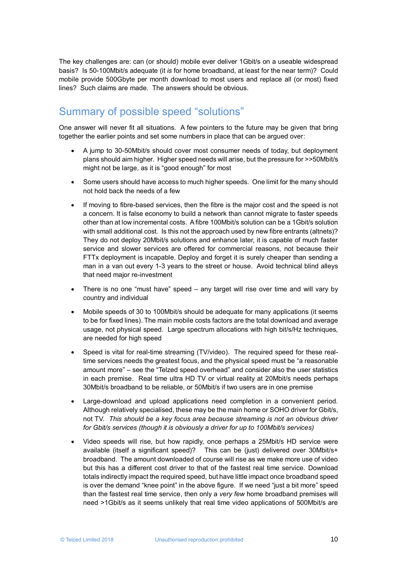The key challenges are: can (or should) mobile ever deliver 1Gbit/s on a useable widespread basis? Is 50-100Mbit/s adequate (it *is* for home broadband, at least for the near term)? Could mobile provide 500Gbyte per month download to most users and replace all (or most) fixed lines? Such claims are made. The answers should be obvious.

#### Summary of possible speed "solutions"

One answer will never fit all situations. A few pointers to the future may be given that bring together the earlier points and set some numbers in place that can be argued over:

- A jump to 30-50Mbit/s should cover most consumer needs of today, but deployment plans should aim higher. Higher speed needs will arise, but the pressure for >>50Mbit/s might not be large, as it is "good enough" for most
- Some users should have access to much higher speeds. One limit for the many should not hold back the needs of a few
- If moving to fibre-based services, then the fibre is the major cost and the speed is not a concern. It is false economy to build a network than cannot migrate to faster speeds other than at low incremental costs. A fibre 100Mbit/s solution can be a 1Gbit/s solution with small additional cost. Is this not the approach used by new fibre entrants (altnets)? They do not deploy 20Mbit/s solutions and enhance later, it is capable of much faster service and slower services are offered for commercial reasons, not because their FTTx deployment is incapable. Deploy and forget it is surely cheaper than sending a man in a van out every 1-3 years to the street or house. Avoid technical blind alleys that need major re-investment
- There is no one "must have" speed any target will rise over time and will vary by country and individual
- Mobile speeds of 30 to 100Mbit/s should be adequate for many applications (it seems to be for fixed lines). The main mobile costs factors are the total download and average usage, not physical speed. Large spectrum allocations with high bit/s/Hz techniques, are needed for high speed
- Speed is vital for real-time streaming (TV/video). The required speed for these realtime services needs the greatest focus, and the physical speed must be "a reasonable amount more" – see the "Telzed speed overhead" and consider also the user statistics in each premise. Real time ultra HD TV or virtual reality at 20Mbit/s needs perhaps 30Mbit/s broadband to be reliable, or 50Mbit/s if two users are in one premise
- Large-download and upload applications need completion in a convenient period. Although relatively specialised, these may be the main home or SOHO driver for Gbit/s, not TV. *This should be a key focus area because streaming is not an obvious driver for Gbit/s services (though it is obviously a driver for up to 100Mbit/s services)*
- Video speeds will rise, but how rapidly, once perhaps a 25Mbit/s HD service were available (itself a significant speed)? This can be (just) delivered over 30Mbit/s+ broadband. The amount downloaded of course will rise as we make more use of video but this has a different cost driver to that of the fastest real time service. Download totals indirectly impact the required speed, buthave little impact once broadband speed is over the demand "knee point" in the above figure. If we need "just a bit more" speed than the fastest real time service, then only a *very few* home broadband premises will need >1Gbit/s as it seems unlikely that real time video applications of 500Mbit/s are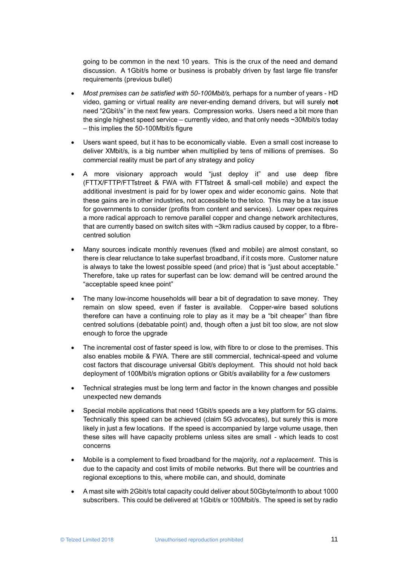going to be common in the next 10 years. This is the crux of the need and demand discussion. A 1Gbit/s home or business is probably driven by fast large file transfer requirements (previous bullet)

- *Most premises can be satisfied with 50-100Mbit/s,* perhaps for a number of years HD video, gaming or virtual reality *are* never-ending demand drivers, but will surely **not** need "2Gbit/s" in the next few years. Compression works. Users need a bit more than the single highest speed service – currently video, and that only needs ~30Mbit/s today – this implies the 50-100Mbit/s figure
- Users want speed, but it has to be economically viable. Even a small cost increase to deliver XMbit/s, is a big number when multiplied by tens of millions of premises. So commercial reality must be part of any strategy and policy
- A more visionary approach would "just deploy it" and use deep fibre (FTTX/FTTP/FTTstreet & FWA with FTTstreet & small-cell mobile) and expect the additional investment is paid for by lower opex and wider economic gains. Note that these gains are in other industries, not accessible to the telco. This may be a tax issue for governments to consider (profits from content and services). Lower opex requires a more radical approach to remove parallel copper and change network architectures, that are currently based on switch sites with ~3km radius caused by copper, to a fibrecentred solution
- Many sources indicate monthly revenues (fixed and mobile) are almost constant, so there is clear reluctance to take superfast broadband, if it costs more. Customer nature is always to take the lowest possible speed (and price) that is "just about acceptable." Therefore, take up rates for superfast can be low: demand will be centred around the "acceptable speed knee point"
- The many low-income households will bear a bit of degradation to save money. They remain on slow speed, even if faster is available. Copper-wire based solutions therefore can have a continuing role to play as it may be a "bit cheaper" than fibre centred solutions (debatable point) and, though often a just bit too slow, are not slow enough to force the upgrade
- The incremental cost of faster speed is low, with fibre to or close to the premises. This also enables mobile & FWA. There are still commercial, technical-speed and volume cost factors that discourage universal Gbit/s deployment. This should not hold back deployment of 100Mbit/s migration options or Gbit/s availability for a *few* customers
- Technical strategies must be long term and factor in the known changes and possible unexpected new demands
- Special mobile applications that need 1Gbit/s speeds are a key platform for 5G claims. Technically this speed can be achieved (claim 5G advocates), but surely this is more likely in just a few locations. If the speed is accompanied by large volume usage, then these sites will have capacity problems unless sites are small - which leads to cost concerns
- Mobile is a complement to fixed broadband for the majority, *not a replacement*. This is due to the capacity and cost limits of mobile networks. But there will be countries and regional exceptions to this, where mobile can, and should, dominate
- A mast site with 2Gbit/s total capacity could deliver about 50Gbyte/month to about 1000 subscribers. This could be delivered at 1Gbit/s or 100Mbit/s. The speed is set by radio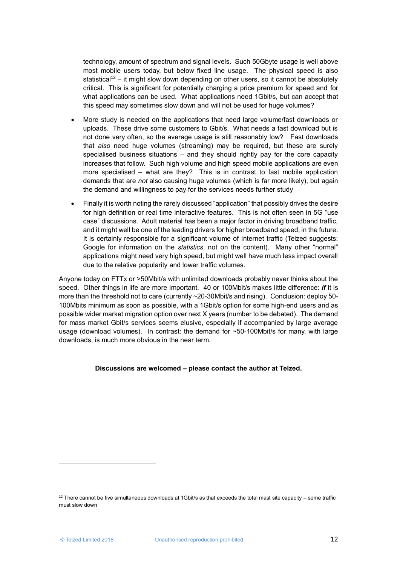technology, amount of spectrum and signal levels. Such 50Gbyte usage is well above most mobile users today, but below fixed line usage. The physical speed is also statistical<sup>12</sup> – it might slow down depending on other users, so it cannot be absolutely critical. This is significant for potentially charging a price premium for speed and for what applications can be used. What applications need 1Gbit/s, but can accept that this speed may sometimes slow down and will not be used for huge volumes?

- More study is needed on the applications that need large volume/fast downloads or uploads. These drive some customers to Gbit/s. What needs a fast download but is not done very often, so the average usage is still reasonably low? Fast downloads that *also* need huge volumes (streaming) may be required, but these are surely specialised business situations – and they should rightly pay for the core capacity increases that follow. Such high volume and high speed mobile applications are even more specialised – what are they? This is in contrast to fast mobile application demands that are *not* also causing huge volumes (which is far more likely), but again the demand and willingness to pay for the services needs further study
- Finally it is worth noting the rarely discussed "application" that possibly drives the desire for high definition or real time interactive features. This is not often seen in 5G "use case" discussions. Adult material has been a major factor in driving broadband traffic, and it might well be one of the leading drivers for higher broadband speed, in the future. It is certainly responsible for a significant volume of internet traffic (Telzed suggests: Google for information on the *statistics*, not on the content). Many other "normal" applications might need very high speed, but might well have much less impact overall due to the relative popularity and lower traffic volumes.

Anyone today on FTTx or >50Mbit/s with unlimited downloads probably never thinks about the speed. Other things in life are more important. 40 or 100Mbit/s makes little difference: *if* it is more than the threshold not to care (currently ~20-30Mbit/s and rising). Conclusion: deploy 50- 100Mbits minimum as soon as possible, with a 1Gbit/s option for some high-end users and as possible wider market migration option over next X years (number to be debated). The demand for mass market Gbit/s services seems elusive, especially if accompanied by large average usage (download volumes). In contrast: the demand for ~50-100Mbit/s for many, with large downloads, is much more obvious in the near term.

#### **Discussions are welcomed – please contact the author at Telzed.**

 $12$  There cannot be five simultaneous downloads at 1Gbit/s as that exceeds the total mast site capacity – some traffic must slow down